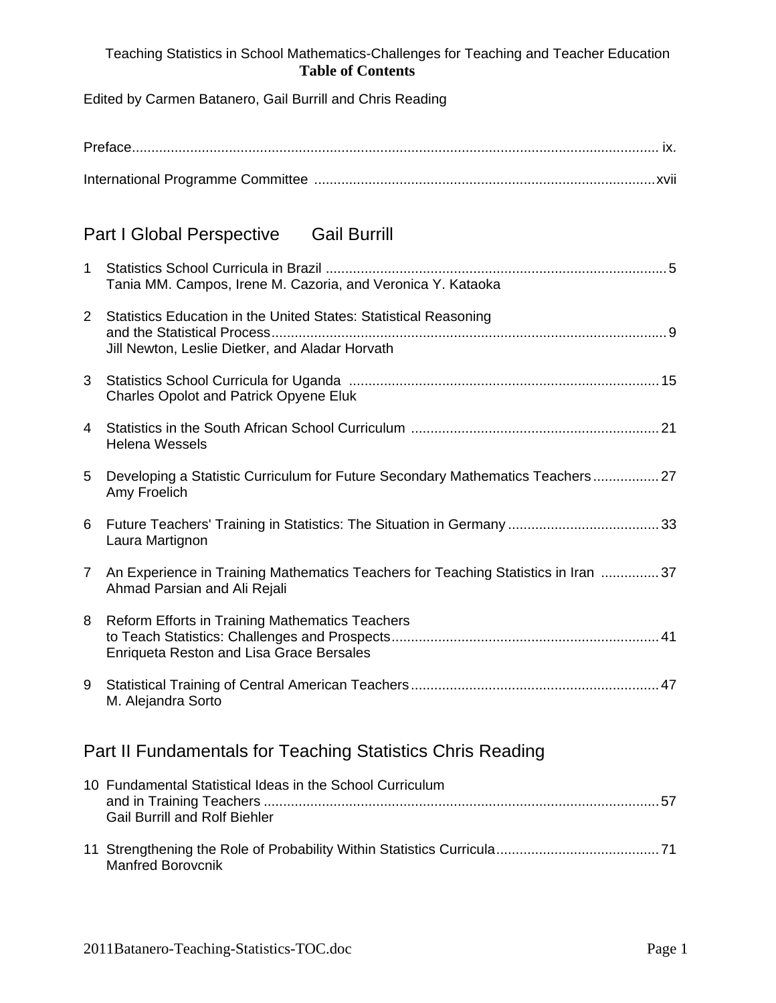## Teaching Statistics in School Mathematics-Challenges for Teaching and Teacher Education **Table of Contents**

Edited by Carmen Batanero, Gail Burrill and Chris Reading

| <b>Gail Burrill</b><br><b>Part I Global Perspective</b>    |                                                                                                                                                    |  |
|------------------------------------------------------------|----------------------------------------------------------------------------------------------------------------------------------------------------|--|
| $\mathbf 1$                                                | Tania MM. Campos, Irene M. Cazoria, and Veronica Y. Kataoka                                                                                        |  |
| $\overline{2}$                                             | Statistics Education in the United States: Statistical Reasoning<br>and the Statistical Process<br>Jill Newton, Leslie Dietker, and Aladar Horvath |  |
| 3                                                          | <b>Charles Opolot and Patrick Opyene Eluk</b>                                                                                                      |  |
| 4                                                          | <b>Helena Wessels</b>                                                                                                                              |  |
| 5                                                          | Developing a Statistic Curriculum for Future Secondary Mathematics Teachers 27<br>Amy Froelich                                                     |  |
| 6                                                          | Laura Martignon                                                                                                                                    |  |
| $\overline{7}$                                             | An Experience in Training Mathematics Teachers for Teaching Statistics in Iran 37<br>Ahmad Parsian and Ali Rejali                                  |  |
| 8                                                          | Reform Efforts in Training Mathematics Teachers<br><b>Enriqueta Reston and Lisa Grace Bersales</b>                                                 |  |
| 9                                                          | M. Alejandra Sorto                                                                                                                                 |  |
| Part II Fundamentals for Teaching Statistics Chris Reading |                                                                                                                                                    |  |
|                                                            | 10 Fundamental Statistical Ideas in the School Curriculum<br><b>Gail Burrill and Rolf Biehler</b>                                                  |  |
|                                                            | <b>Manfred Borovcnik</b>                                                                                                                           |  |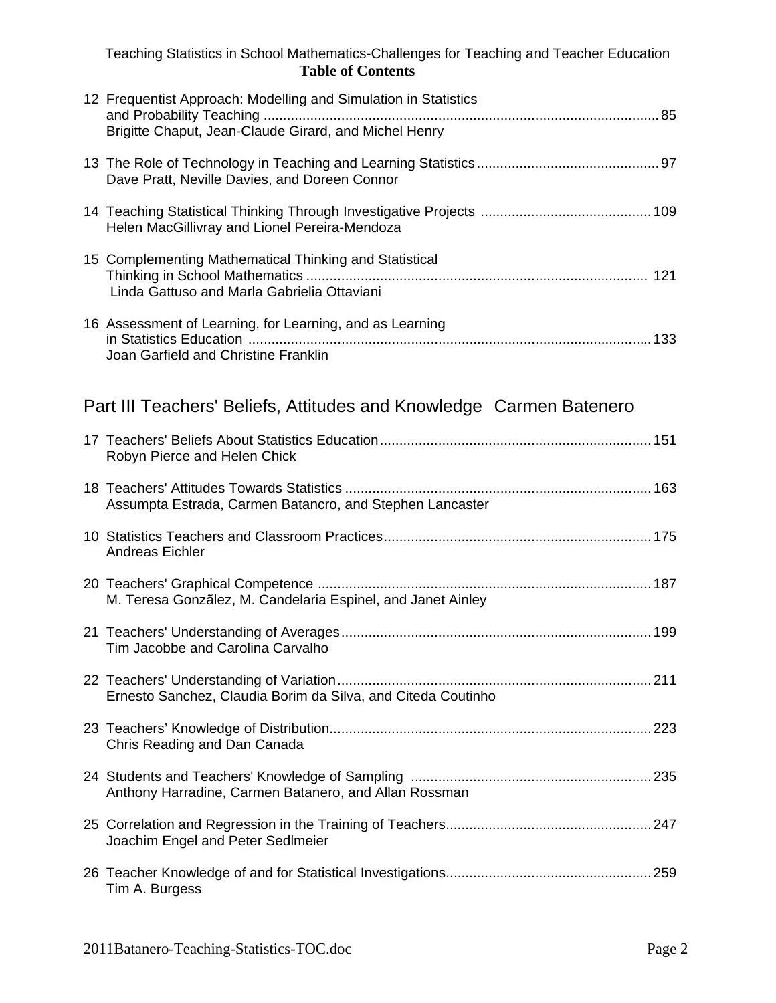|                                                                     | Teaching Statistics in School Mathematics-Challenges for Teaching and Teacher Education<br><b>Table of Contents</b> |  |
|---------------------------------------------------------------------|---------------------------------------------------------------------------------------------------------------------|--|
|                                                                     | 12 Frequentist Approach: Modelling and Simulation in Statistics                                                     |  |
|                                                                     | Brigitte Chaput, Jean-Claude Girard, and Michel Henry                                                               |  |
|                                                                     | Dave Pratt, Neville Davies, and Doreen Connor                                                                       |  |
|                                                                     | Helen MacGillivray and Lionel Pereira-Mendoza                                                                       |  |
|                                                                     | 15 Complementing Mathematical Thinking and Statistical<br>Linda Gattuso and Marla Gabrielia Ottaviani               |  |
|                                                                     | 16 Assessment of Learning, for Learning, and as Learning<br>Joan Garfield and Christine Franklin                    |  |
| Part III Teachers' Beliefs, Attitudes and Knowledge Carmen Batenero |                                                                                                                     |  |
|                                                                     | Robyn Pierce and Helen Chick                                                                                        |  |
|                                                                     | Assumpta Estrada, Carmen Batancro, and Stephen Lancaster                                                            |  |
|                                                                     | <b>Andreas Eichler</b>                                                                                              |  |
|                                                                     | M. Teresa Gonzãlez, M. Candelaria Espinel, and Janet Ainley                                                         |  |
|                                                                     | Tim Jacobbe and Carolina Carvalho                                                                                   |  |
|                                                                     | Ernesto Sanchez, Claudia Borim da Silva, and Citeda Coutinho                                                        |  |
|                                                                     | Chris Reading and Dan Canada                                                                                        |  |
|                                                                     | Anthony Harradine, Carmen Batanero, and Allan Rossman                                                               |  |
|                                                                     | Joachim Engel and Peter SedImeier                                                                                   |  |
|                                                                     | Tim A. Burgess                                                                                                      |  |